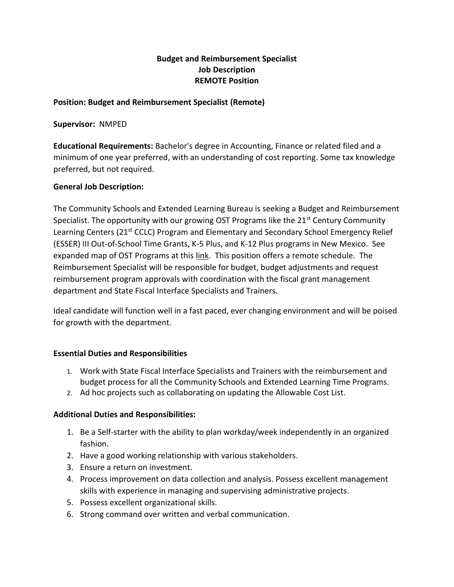# **Budget and Reimbursement Specialist Job Description REMOTE Position**

### **Position: Budget and Reimbursement Specialist (Remote)**

**Supervisor:** NMPED

**Educational Requirements:** Bachelor's degree in Accounting, Finance or related filed and a minimum of one year preferred, with an understanding of cost reporting. Some tax knowledge preferred, but not required.

### **General Job Description:**

The Community Schools and Extended Learning Bureau is seeking a Budget and Reimbursement Specialist. The opportunity with our growing OST Programs like the  $21<sup>st</sup>$  Century Community Learning Centers (21<sup>st</sup> CCLC) Program and Elementary and Secondary School Emergency Relief (ESSER) III Out-of-School Time Grants, K-5 Plus, and K-12 Plus programs in New Mexico. See expanded map of OST Programs at this [link.](https://nam02.safelinks.protection.outlook.com/?url=https%3A%2F%2Fnmcdc.maps.arcgis.com%2Fapps%2FMapSeries%2Findex.html%3Fappid%3D5134dcc20bd34540ad9d275355c3999c&data=05%7C01%7Ctsoderberg%40swrecnm.org%7C316c016d3d7c40b0e3f508da4fc41630%7C2990721dae76450f890da3cf3e2ffaa5%7C0%7C0%7C637910000867122675%7CUnknown%7CTWFpbGZsb3d8eyJWIjoiMC4wLjAwMDAiLCJQIjoiV2luMzIiLCJBTiI6Ik1haWwiLCJXVCI6Mn0%3D%7C3000%7C%7C%7C&sdata=vatgr0vUz4YcyIxU%2FXRx%2BIRSGwRoS6uSnOCEUGGZWYc%3D&reserved=0) This position offers a remote schedule. The Reimbursement Specialist will be responsible for budget, budget adjustments and request reimbursement program approvals with coordination with the fiscal grant management department and State Fiscal Interface Specialists and Trainers.

Ideal candidate will function well in a fast paced, ever changing environment and will be poised for growth with the department.

#### **Essential Duties and Responsibilities**

- 1. Work with State Fiscal Interface Specialists and Trainers with the reimbursement and budget process for all the Community Schools and Extended Learning Time Programs.
- 2. Ad hoc projects such as collaborating on updating the Allowable Cost List.

#### **Additional Duties and Responsibilities:**

- 1. Be a Self-starter with the ability to plan workday/week independently in an organized fashion.
- 2. Have a good working relationship with various stakeholders.
- 3. Ensure a return on investment.
- 4. Process improvement on data collection and analysis. Possess excellent management skills with experience in managing and supervising administrative projects.
- 5. Possess excellent organizational skills.
- 6. Strong command over written and verbal communication.